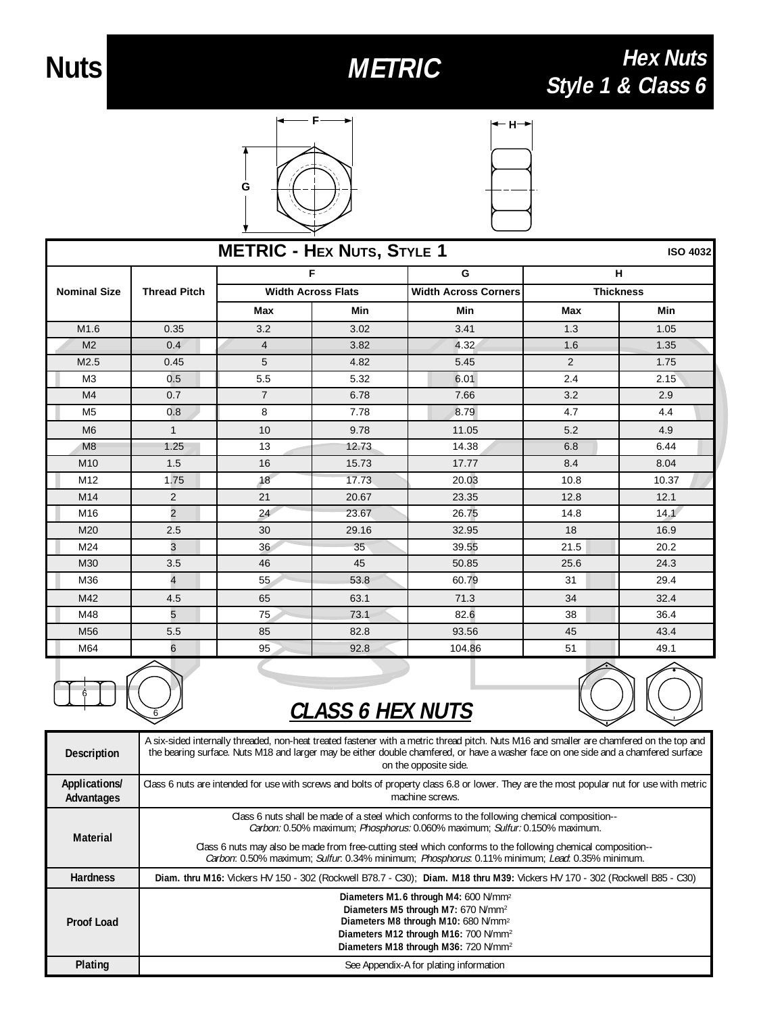6

6

## **Hex Nuts Nuts** METRIC METRIC Hex Nuts<br>Style 1 & Class 6





| <b>METRIC - HEX NUTS, STYLE 1</b><br><b>ISO 4032</b> |                     |                                |       |                                  |                       |       |
|------------------------------------------------------|---------------------|--------------------------------|-------|----------------------------------|-----------------------|-------|
| <b>Nominal Size</b>                                  | <b>Thread Pitch</b> | F<br><b>Width Across Flats</b> |       | G<br><b>Width Across Corners</b> | н<br><b>Thickness</b> |       |
|                                                      |                     |                                |       |                                  |                       |       |
|                                                      |                     | M1.6                           | 0.35  | 3.2                              | 3.02                  | 3.41  |
| M <sub>2</sub>                                       | 0.4                 | $\overline{\mathbf{4}}$        | 3.82  | 4.32                             | 1.6                   | 1.35  |
| M2.5                                                 | 0.45                | 5                              | 4.82  | 5.45                             | 2                     | 1.75  |
| M <sub>3</sub>                                       | 0.5                 | 5.5                            | 5.32  | 6.01                             | 2.4                   | 2.15  |
| M <sub>4</sub>                                       | 0.7                 | $\overline{7}$                 | 6.78  | 7.66                             | 3.2                   | 2.9   |
| M <sub>5</sub>                                       | 0.8                 | 8                              | 7.78  | 8.79                             | 4.7                   | 4.4   |
| M <sub>6</sub>                                       | $\mathbf{1}$        | 10                             | 9.78  | 11.05                            | 5.2                   | 4.9   |
| M <sub>8</sub>                                       | 1.25                | 13                             | 12.73 | 14.38                            | 6.8                   | 6.44  |
| M10                                                  | 1.5                 | 16                             | 15.73 | 17.77                            | 8.4                   | 8.04  |
| M12                                                  | 1.75                | 18                             | 17.73 | 20.03                            | 10.8                  | 10.37 |
| M14                                                  | 2                   | 21                             | 20.67 | 23.35                            | 12.8                  | 12.1  |
| M16                                                  | $\overline{c}$      | 24                             | 23.67 | 26.75                            | 14.8                  | 14.1  |
| M20                                                  | 2.5                 | 30                             | 29.16 | 32.95                            | 18                    | 16.9  |
| M24                                                  | 3                   | 36                             | 35    | 39.55                            | 21.5                  | 20.2  |
| M30                                                  | 3.5                 | 46                             | 45    | 50.85                            | 25.6                  | 24.3  |
| M36                                                  | 4                   | 55                             | 53.8  | 60.79                            | 31                    | 29.4  |
| M42                                                  | 4.5                 | 65                             | 63.1  | 71.3                             | 34                    | 32.4  |
| M48                                                  | 5                   | 75                             | 73.1  | 82.6                             | 38                    | 36.4  |
| M56                                                  | 5.5                 | 85                             | 82.8  | 93.56                            | 45                    | 43.4  |
| M64                                                  | 6                   | 95                             | 92.8  | 104.86                           | 51                    | 49.1  |



| <b>Description</b>          | A six-sided internally threaded, non-heat treated fastener with a metric thread pitch. Nuts M16 and smaller are chamfered on the top and<br>the bearing surface. Nuts M18 and larger may be either double chamfered, or have a washer face on one side and a chamfered surface<br>on the opposite side. |  |  |  |
|-----------------------------|---------------------------------------------------------------------------------------------------------------------------------------------------------------------------------------------------------------------------------------------------------------------------------------------------------|--|--|--|
| Applications/<br>Advantages | Class 6 nuts are intended for use with screws and bolts of property class 6.8 or lower. They are the most popular nut for use with metric<br>machine screws.                                                                                                                                            |  |  |  |
| Material                    | Class 6 nuts shall be made of a steel which conforms to the following chemical composition--<br>Carbon: 0.50% maximum; Phosphorus: 0.060% maximum; Sulfur: 0.150% maximum.<br>Class 6 nuts may also be made from free-cutting steel which conforms to the following chemical composition--              |  |  |  |
|                             | Carbon: 0.50% maximum; Sulfur: 0.34% minimum; Phosphorus: 0.11% minimum; Lead: 0.35% minimum.                                                                                                                                                                                                           |  |  |  |
| <b>Hardness</b>             | Diam. thru M16: Vickers HV 150 - 302 (Rockwell B78.7 - C30); Diam. M18 thru M39: Vickers HV 170 - 302 (Rockwell B85 - C30)                                                                                                                                                                              |  |  |  |
| Proof Load                  | Diameters M1.6 through M4: 600 N/mm <sup>2</sup><br>Diameters M5 through M7: 670 N/mm <sup>2</sup><br>Diameters M8 through M10: 680 N/mm <sup>2</sup><br>Diameters M12 through M16: 700 N/mm <sup>2</sup><br>Diameters M18 through M36: 720 N/mm <sup>2</sup>                                           |  |  |  |
| Plating                     | See Appendix-A for plating information                                                                                                                                                                                                                                                                  |  |  |  |